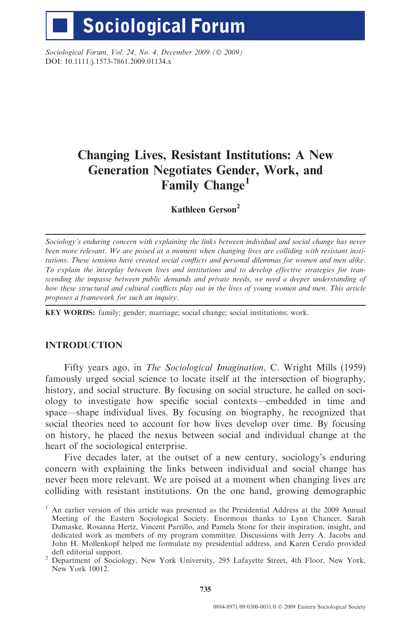# **Sociological Forum**

Sociological Forum, Vol. 24, No. 4, December 2009 (© 2009) DOI: 10.1111/j.1573-7861.2009.01134.x

# Changing Lives, Resistant Institutions: A New Generation Negotiates Gender, Work, and Family Change<sup>1</sup>

Kathleen Gerson<sup>2</sup>

Sociology's enduring concern with explaining the links between individual and social change has never been more relevant. We are poised at a moment when changing lives are colliding with resistant institutions. These tensions have created social conflicts and personal dilemmas for women and men alike. To explain the interplay between lives and institutions and to develop effective strategies for transcending the impasse between public demands and private needs, we need a deeper understanding of how these structural and cultural conflicts play out in the lives of young women and men. This article proposes a framework for such an inquiry.

KEY WORDS: family; gender; marriage; social change; social institutions; work.

# INTRODUCTION

Fifty years ago, in The Sociological Imagination, C. Wright Mills (1959) famously urged social science to locate itself at the intersection of biography, history, and social structure. By focusing on social structure, he called on sociology to investigate how specific social contexts—embedded in time and space—shape individual lives. By focusing on biography, he recognized that social theories need to account for how lives develop over time. By focusing on history, he placed the nexus between social and individual change at the heart of the sociological enterprise.

Five decades later, at the outset of a new century, sociology's enduring concern with explaining the links between individual and social change has never been more relevant. We are poised at a moment when changing lives are colliding with resistant institutions. On the one hand, growing demographic

<sup>1</sup> An earlier version of this article was presented as the Presidential Address at the 2009 Annual Meeting of the Eastern Sociological Society. Enormous thanks to Lynn Chancer, Sarah Damaske, Rosanna Hertz, Vincent Parrillo, and Pamela Stone for their inspiration, insight, and dedicated work as members of my program committee. Discussions with Jerry A. Jacobs and John H. Mollenkopf helped me formulate my presidential address, and Karen Cerulo provided

deft editorial support.<br><sup>2</sup> Department of Sociology, New York University, 295 Lafayette Street, 4th Floor, New York, New York 10012.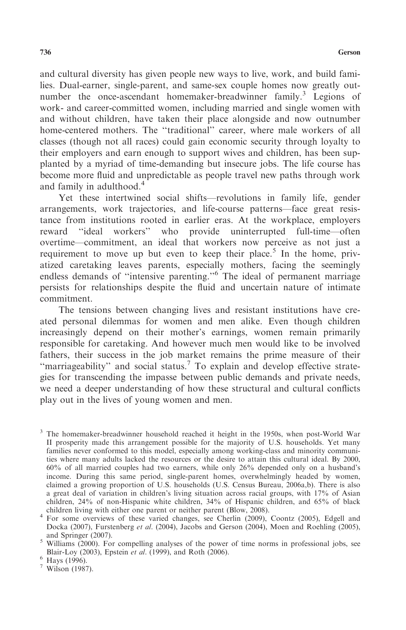and cultural diversity has given people new ways to live, work, and build families. Dual-earner, single-parent, and same-sex couple homes now greatly outnumber the once-ascendant homemaker-breadwinner family.<sup>3</sup> Legions of work- and career-committed women, including married and single women with and without children, have taken their place alongside and now outnumber home-centered mothers. The ''traditional'' career, where male workers of all classes (though not all races) could gain economic security through loyalty to their employers and earn enough to support wives and children, has been supplanted by a myriad of time-demanding but insecure jobs. The life course has become more fluid and unpredictable as people travel new paths through work and family in adulthood.<sup>4</sup>

Yet these intertwined social shifts—revolutions in family life, gender arrangements, work trajectories, and life-course patterns—face great resistance from institutions rooted in earlier eras. At the workplace, employers reward ''ideal workers'' who provide uninterrupted full-time—often overtime—commitment, an ideal that workers now perceive as not just a requirement to move up but even to keep their place.<sup>5</sup> In the home, privatized caretaking leaves parents, especially mothers, facing the seemingly endless demands of ''intensive parenting.''<sup>6</sup> The ideal of permanent marriage persists for relationships despite the fluid and uncertain nature of intimate commitment.

The tensions between changing lives and resistant institutions have created personal dilemmas for women and men alike. Even though children increasingly depend on their mother's earnings, women remain primarily responsible for caretaking. And however much men would like to be involved fathers, their success in the job market remains the prime measure of their "marriageability" and social status.<sup>7</sup> To explain and develop effective strategies for transcending the impasse between public demands and private needs, we need a deeper understanding of how these structural and cultural conflicts play out in the lives of young women and men.

<sup>3</sup> The homemaker-breadwinner household reached it height in the 1950s, when post-World War II prosperity made this arrangement possible for the majority of U.S. households. Yet many families never conformed to this model, especially among working-class and minority communities where many adults lacked the resources or the desire to attain this cultural ideal. By 2000, 60% of all married couples had two earners, while only 26% depended only on a husband's income. During this same period, single-parent homes, overwhelmingly headed by women, claimed a growing proportion of U.S. households (U.S. Census Bureau, 2006a,b). There is also a great deal of variation in children's living situation across racial groups, with 17% of Asian children, 24% of non-Hispanic white children, 34% of Hispanic children, and 65% of black

children living with either one parent or neither parent (Blow, 2008). <sup>4</sup> For some overviews of these varied changes, see Cherlin (2009), Coontz (2005), Edgell and Docka (2007), Furstenberg et al. (2004), Jacobs and Gerson (2004), Moen and Roehling (2005), and Springer (2007). <sup>5</sup> Williams (2000). For compelling analyses of the power of time norms in professional jobs, see

Blair-Loy (2003), Epstein *et al.* (1999), and Roth (2006).<br><sup>6</sup> Hays (1996).<br><sup>7</sup> Wilson (1987).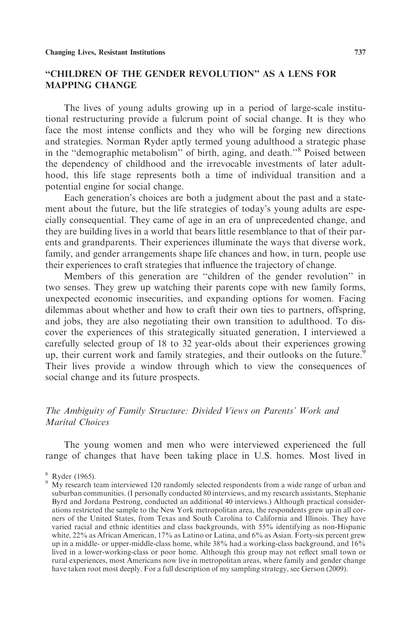# "CHILDREN OF THE GENDER REVOLUTION" AS A LENS FOR MAPPING CHANGE

The lives of young adults growing up in a period of large-scale institutional restructuring provide a fulcrum point of social change. It is they who face the most intense conflicts and they who will be forging new directions and strategies. Norman Ryder aptly termed young adulthood a strategic phase in the ''demographic metabolism'' of birth, aging, and death.''<sup>8</sup> Poised between the dependency of childhood and the irrevocable investments of later adulthood, this life stage represents both a time of individual transition and a potential engine for social change.

Each generation's choices are both a judgment about the past and a statement about the future, but the life strategies of today's young adults are especially consequential. They came of age in an era of unprecedented change, and they are building lives in a world that bears little resemblance to that of their parents and grandparents. Their experiences illuminate the ways that diverse work, family, and gender arrangements shape life chances and how, in turn, people use their experiences to craft strategies that influence the trajectory of change.

Members of this generation are ''children of the gender revolution'' in two senses. They grew up watching their parents cope with new family forms, unexpected economic insecurities, and expanding options for women. Facing dilemmas about whether and how to craft their own ties to partners, offspring, and jobs, they are also negotiating their own transition to adulthood. To discover the experiences of this strategically situated generation, I interviewed a carefully selected group of 18 to 32 year-olds about their experiences growing up, their current work and family strategies, and their outlooks on the future.<sup>9</sup> Their lives provide a window through which to view the consequences of social change and its future prospects.

# The Ambiguity of Family Structure: Divided Views on Parents' Work and Marital Choices

The young women and men who were interviewed experienced the full range of changes that have been taking place in U.S. homes. Most lived in

 $\frac{8}{9}$  Ryder (1965).<br>9 My research team interviewed 120 randomly selected respondents from a wide range of urban and suburban communities. (I personally conducted 80 interviews, and my research assistants, Stephanie Byrd and Jordana Pestrong, conducted an additional 40 interviews.) Although practical considerations restricted the sample to the New York metropolitan area, the respondents grew up in all corners of the United States, from Texas and South Carolina to California and Illinois. They have varied racial and ethnic identities and class backgrounds, with 55% identifying as non-Hispanic white, 22% as African American, 17% as Latino or Latina, and 6% as Asian. Forty-six percent grew up in a middle- or upper-middle-class home, while 38% had a working-class background, and 16% lived in a lower-working-class or poor home. Although this group may not reflect small town or rural experiences, most Americans now live in metropolitan areas, where family and gender change have taken root most deeply. For a full description of my sampling strategy, see Gerson (2009).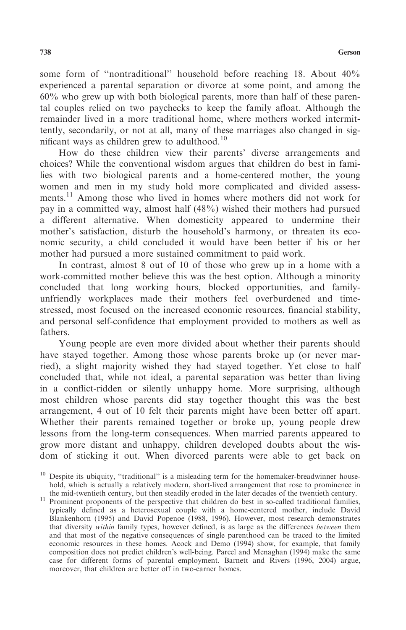some form of ''nontraditional'' household before reaching 18. About 40% experienced a parental separation or divorce at some point, and among the 60% who grew up with both biological parents, more than half of these parental couples relied on two paychecks to keep the family afloat. Although the remainder lived in a more traditional home, where mothers worked intermittently, secondarily, or not at all, many of these marriages also changed in significant ways as children grew to adulthood.<sup>10</sup>

How do these children view their parents' diverse arrangements and choices? While the conventional wisdom argues that children do best in families with two biological parents and a home-centered mother, the young women and men in my study hold more complicated and divided assessments.<sup>11</sup> Among those who lived in homes where mothers did not work for pay in a committed way, almost half (48%) wished their mothers had pursued a different alternative. When domesticity appeared to undermine their mother's satisfaction, disturb the household's harmony, or threaten its economic security, a child concluded it would have been better if his or her mother had pursued a more sustained commitment to paid work.

In contrast, almost 8 out of 10 of those who grew up in a home with a work-committed mother believe this was the best option. Although a minority concluded that long working hours, blocked opportunities, and familyunfriendly workplaces made their mothers feel overburdened and timestressed, most focused on the increased economic resources, financial stability, and personal self-confidence that employment provided to mothers as well as fathers.

Young people are even more divided about whether their parents should have stayed together. Among those whose parents broke up (or never married), a slight majority wished they had stayed together. Yet close to half concluded that, while not ideal, a parental separation was better than living in a conflict-ridden or silently unhappy home. More surprising, although most children whose parents did stay together thought this was the best arrangement, 4 out of 10 felt their parents might have been better off apart. Whether their parents remained together or broke up, young people drew lessons from the long-term consequences. When married parents appeared to grow more distant and unhappy, children developed doubts about the wisdom of sticking it out. When divorced parents were able to get back on

 $10$  Despite its ubiquity, "traditional" is a misleading term for the homemaker-breadwinner household, which is actually a relatively modern, short-lived arrangement that rose to prominence in the mid-twentieth century, but then steadily eroded in the later decades of the twentieth century.

 $\frac{11}{11}$  Prominent proponents of the perspective that children do best in so-called traditional families, typically defined as a heterosexual couple with a home-centered mother, include David Blankenhorn (1995) and David Popenoe (1988, 1996). However, most research demonstrates that diversity within family types, however defined, is as large as the differences between them and that most of the negative consequences of single parenthood can be traced to the limited economic resources in these homes. Acock and Demo (1994) show, for example, that family composition does not predict children's well-being. Parcel and Menaghan (1994) make the same case for different forms of parental employment. Barnett and Rivers (1996, 2004) argue, moreover, that children are better off in two-earner homes.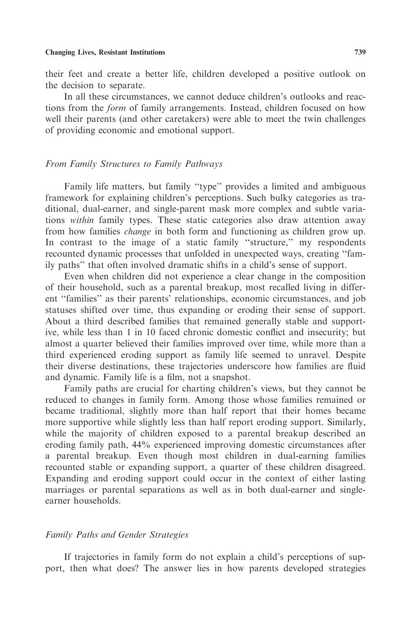their feet and create a better life, children developed a positive outlook on the decision to separate.

In all these circumstances, we cannot deduce children's outlooks and reactions from the form of family arrangements. Instead, children focused on how well their parents (and other caretakers) were able to meet the twin challenges of providing economic and emotional support.

#### From Family Structures to Family Pathways

Family life matters, but family ''type'' provides a limited and ambiguous framework for explaining children's perceptions. Such bulky categories as traditional, dual-earner, and single-parent mask more complex and subtle variations within family types. These static categories also draw attention away from how families change in both form and functioning as children grow up. In contrast to the image of a static family ''structure,'' my respondents recounted dynamic processes that unfolded in unexpected ways, creating ''family paths'' that often involved dramatic shifts in a child's sense of support.

Even when children did not experience a clear change in the composition of their household, such as a parental breakup, most recalled living in different ''families'' as their parents' relationships, economic circumstances, and job statuses shifted over time, thus expanding or eroding their sense of support. About a third described families that remained generally stable and supportive, while less than 1 in 10 faced chronic domestic conflict and insecurity; but almost a quarter believed their families improved over time, while more than a third experienced eroding support as family life seemed to unravel. Despite their diverse destinations, these trajectories underscore how families are fluid and dynamic. Family life is a film, not a snapshot.

Family paths are crucial for charting children's views, but they cannot be reduced to changes in family form. Among those whose families remained or became traditional, slightly more than half report that their homes became more supportive while slightly less than half report eroding support. Similarly, while the majority of children exposed to a parental breakup described an eroding family path, 44% experienced improving domestic circumstances after a parental breakup. Even though most children in dual-earning families recounted stable or expanding support, a quarter of these children disagreed. Expanding and eroding support could occur in the context of either lasting marriages or parental separations as well as in both dual-earner and singleearner households.

# Family Paths and Gender Strategies

If trajectories in family form do not explain a child's perceptions of support, then what does? The answer lies in how parents developed strategies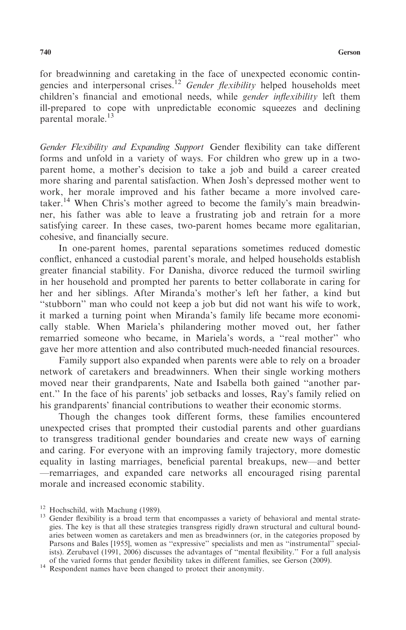for breadwinning and caretaking in the face of unexpected economic contingencies and interpersonal crises.<sup>12</sup> Gender flexibility helped households meet children's financial and emotional needs, while *gender inflexibility* left them ill-prepared to cope with unpredictable economic squeezes and declining parental morale.<sup>13</sup>

Gender Flexibility and Expanding Support Gender flexibility can take different forms and unfold in a variety of ways. For children who grew up in a twoparent home, a mother's decision to take a job and build a career created more sharing and parental satisfaction. When Josh's depressed mother went to work, her morale improved and his father became a more involved caretaker.<sup>14</sup> When Chris's mother agreed to become the family's main breadwinner, his father was able to leave a frustrating job and retrain for a more satisfying career. In these cases, two-parent homes became more egalitarian, cohesive, and financially secure.

In one-parent homes, parental separations sometimes reduced domestic conflict, enhanced a custodial parent's morale, and helped households establish greater financial stability. For Danisha, divorce reduced the turmoil swirling in her household and prompted her parents to better collaborate in caring for her and her siblings. After Miranda's mother's left her father, a kind but ''stubborn'' man who could not keep a job but did not want his wife to work, it marked a turning point when Miranda's family life became more economically stable. When Mariela's philandering mother moved out, her father remarried someone who became, in Mariela's words, a ''real mother'' who gave her more attention and also contributed much-needed financial resources.

Family support also expanded when parents were able to rely on a broader network of caretakers and breadwinners. When their single working mothers moved near their grandparents, Nate and Isabella both gained ''another parent.'' In the face of his parents' job setbacks and losses, Ray's family relied on his grandparents' financial contributions to weather their economic storms.

Though the changes took different forms, these families encountered unexpected crises that prompted their custodial parents and other guardians to transgress traditional gender boundaries and create new ways of earning and caring. For everyone with an improving family trajectory, more domestic equality in lasting marriages, beneficial parental breakups, new—and better —remarriages, and expanded care networks all encouraged rising parental morale and increased economic stability.

<sup>&</sup>lt;sup>12</sup> Hochschild, with Machung (1989). <sup>13</sup> Gender flexibility is a broad term that encompasses a variety of behavioral and mental strategies. The key is that all these strategies transgress rigidly drawn structural and cultural boundaries between women as caretakers and men as breadwinners (or, in the categories proposed by Parsons and Bales [1955], women as ''expressive'' specialists and men as ''instrumental'' specialists). Zerubavel (1991, 2006) discusses the advantages of ''mental flexibility.'' For a full analysis of the varied forms that gender flexibility takes in different families, see Gerson (2009). <sup>14</sup> Respondent names have been changed to protect their anonymity.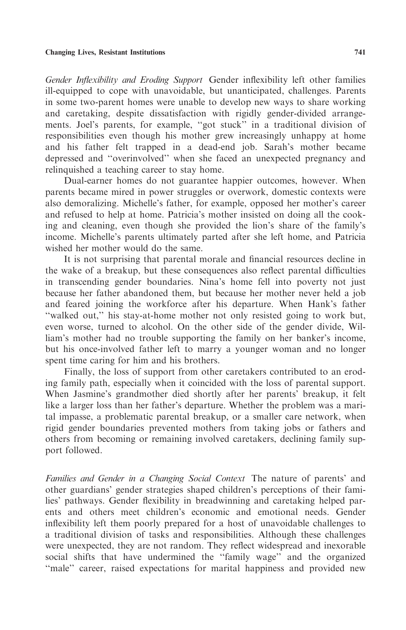Gender Inflexibility and Eroding Support Gender inflexibility left other families ill-equipped to cope with unavoidable, but unanticipated, challenges. Parents in some two-parent homes were unable to develop new ways to share working and caretaking, despite dissatisfaction with rigidly gender-divided arrangements. Joel's parents, for example, ''got stuck'' in a traditional division of responsibilities even though his mother grew increasingly unhappy at home and his father felt trapped in a dead-end job. Sarah's mother became depressed and ''overinvolved'' when she faced an unexpected pregnancy and relinquished a teaching career to stay home.

Dual-earner homes do not guarantee happier outcomes, however. When parents became mired in power struggles or overwork, domestic contexts were also demoralizing. Michelle's father, for example, opposed her mother's career and refused to help at home. Patricia's mother insisted on doing all the cooking and cleaning, even though she provided the lion's share of the family's income. Michelle's parents ultimately parted after she left home, and Patricia wished her mother would do the same.

It is not surprising that parental morale and financial resources decline in the wake of a breakup, but these consequences also reflect parental difficulties in transcending gender boundaries. Nina's home fell into poverty not just because her father abandoned them, but because her mother never held a job and feared joining the workforce after his departure. When Hank's father ''walked out,'' his stay-at-home mother not only resisted going to work but, even worse, turned to alcohol. On the other side of the gender divide, William's mother had no trouble supporting the family on her banker's income, but his once-involved father left to marry a younger woman and no longer spent time caring for him and his brothers.

Finally, the loss of support from other caretakers contributed to an eroding family path, especially when it coincided with the loss of parental support. When Jasmine's grandmother died shortly after her parents' breakup, it felt like a larger loss than her father's departure. Whether the problem was a marital impasse, a problematic parental breakup, or a smaller care network, when rigid gender boundaries prevented mothers from taking jobs or fathers and others from becoming or remaining involved caretakers, declining family support followed.

Families and Gender in a Changing Social Context The nature of parents' and other guardians' gender strategies shaped children's perceptions of their families' pathways. Gender flexibility in breadwinning and caretaking helped parents and others meet children's economic and emotional needs. Gender inflexibility left them poorly prepared for a host of unavoidable challenges to a traditional division of tasks and responsibilities. Although these challenges were unexpected, they are not random. They reflect widespread and inexorable social shifts that have undermined the ''family wage'' and the organized ''male'' career, raised expectations for marital happiness and provided new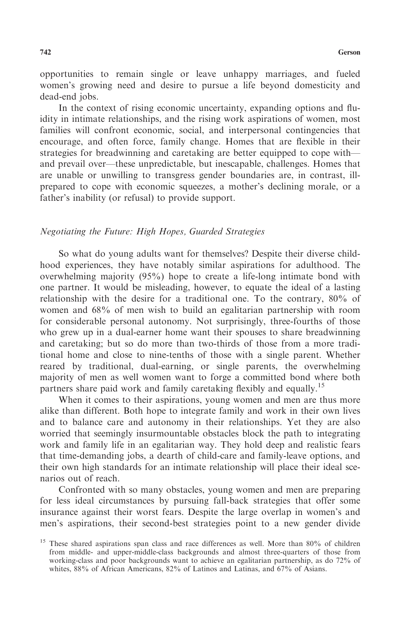opportunities to remain single or leave unhappy marriages, and fueled women's growing need and desire to pursue a life beyond domesticity and dead-end jobs.

In the context of rising economic uncertainty, expanding options and fluidity in intimate relationships, and the rising work aspirations of women, most families will confront economic, social, and interpersonal contingencies that encourage, and often force, family change. Homes that are flexible in their strategies for breadwinning and caretaking are better equipped to cope with and prevail over—these unpredictable, but inescapable, challenges. Homes that are unable or unwilling to transgress gender boundaries are, in contrast, illprepared to cope with economic squeezes, a mother's declining morale, or a father's inability (or refusal) to provide support.

## Negotiating the Future: High Hopes, Guarded Strategies

So what do young adults want for themselves? Despite their diverse childhood experiences, they have notably similar aspirations for adulthood. The overwhelming majority (95%) hope to create a life-long intimate bond with one partner. It would be misleading, however, to equate the ideal of a lasting relationship with the desire for a traditional one. To the contrary, 80% of women and 68% of men wish to build an egalitarian partnership with room for considerable personal autonomy. Not surprisingly, three-fourths of those who grew up in a dual-earner home want their spouses to share breadwinning and caretaking; but so do more than two-thirds of those from a more traditional home and close to nine-tenths of those with a single parent. Whether reared by traditional, dual-earning, or single parents, the overwhelming majority of men as well women want to forge a committed bond where both partners share paid work and family caretaking flexibly and equally.<sup>15</sup>

When it comes to their aspirations, young women and men are thus more alike than different. Both hope to integrate family and work in their own lives and to balance care and autonomy in their relationships. Yet they are also worried that seemingly insurmountable obstacles block the path to integrating work and family life in an egalitarian way. They hold deep and realistic fears that time-demanding jobs, a dearth of child-care and family-leave options, and their own high standards for an intimate relationship will place their ideal scenarios out of reach.

Confronted with so many obstacles, young women and men are preparing for less ideal circumstances by pursuing fall-back strategies that offer some insurance against their worst fears. Despite the large overlap in women's and men's aspirations, their second-best strategies point to a new gender divide

<sup>&</sup>lt;sup>15</sup> These shared aspirations span class and race differences as well. More than 80% of children from middle- and upper-middle-class backgrounds and almost three-quarters of those from working-class and poor backgrounds want to achieve an egalitarian partnership, as do 72% of whites, 88% of African Americans, 82% of Latinos and Latinas, and 67% of Asians.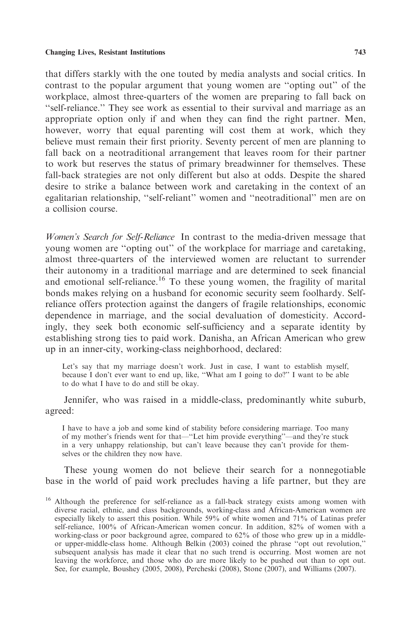that differs starkly with the one touted by media analysts and social critics. In contrast to the popular argument that young women are ''opting out'' of the workplace, almost three-quarters of the women are preparing to fall back on ''self-reliance.'' They see work as essential to their survival and marriage as an appropriate option only if and when they can find the right partner. Men, however, worry that equal parenting will cost them at work, which they believe must remain their first priority. Seventy percent of men are planning to fall back on a neotraditional arrangement that leaves room for their partner to work but reserves the status of primary breadwinner for themselves. These fall-back strategies are not only different but also at odds. Despite the shared desire to strike a balance between work and caretaking in the context of an egalitarian relationship, ''self-reliant'' women and ''neotraditional'' men are on a collision course.

Women's Search for Self-Reliance In contrast to the media-driven message that young women are ''opting out'' of the workplace for marriage and caretaking, almost three-quarters of the interviewed women are reluctant to surrender their autonomy in a traditional marriage and are determined to seek financial and emotional self-reliance.<sup>16</sup> To these young women, the fragility of marital bonds makes relying on a husband for economic security seem foolhardy. Selfreliance offers protection against the dangers of fragile relationships, economic dependence in marriage, and the social devaluation of domesticity. Accordingly, they seek both economic self-sufficiency and a separate identity by establishing strong ties to paid work. Danisha, an African American who grew up in an inner-city, working-class neighborhood, declared:

Let's say that my marriage doesn't work. Just in case, I want to establish myself, because I don't ever want to end up, like, "What am I going to do?" I want to be able to do what I have to do and still be okay.

Jennifer, who was raised in a middle-class, predominantly white suburb, agreed:

I have to have a job and some kind of stability before considering marriage. Too many of my mother's friends went for that—''Let him provide everything''—and they're stuck in a very unhappy relationship, but can't leave because they can't provide for themselves or the children they now have.

These young women do not believe their search for a nonnegotiable base in the world of paid work precludes having a life partner, but they are

<sup>&</sup>lt;sup>16</sup> Although the preference for self-reliance as a fall-back strategy exists among women with diverse racial, ethnic, and class backgrounds, working-class and African-American women are especially likely to assert this position. While 59% of white women and 71% of Latinas prefer self-reliance, 100% of African-American women concur. In addition, 82% of women with a working-class or poor background agree, compared to 62% of those who grew up in a middleor upper-middle-class home. Although Belkin (2003) coined the phrase ''opt out revolution,'' subsequent analysis has made it clear that no such trend is occurring. Most women are not leaving the workforce, and those who do are more likely to be pushed out than to opt out. See, for example, Boushey (2005, 2008), Percheski (2008), Stone (2007), and Williams (2007).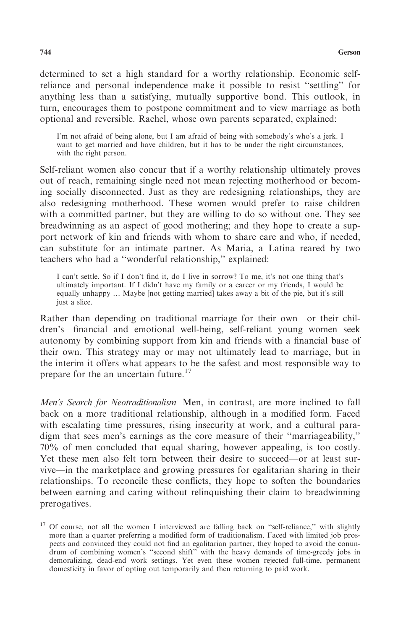determined to set a high standard for a worthy relationship. Economic selfreliance and personal independence make it possible to resist ''settling'' for anything less than a satisfying, mutually supportive bond. This outlook, in turn, encourages them to postpone commitment and to view marriage as both optional and reversible. Rachel, whose own parents separated, explained:

I'm not afraid of being alone, but I am afraid of being with somebody's who's a jerk. I want to get married and have children, but it has to be under the right circumstances, with the right person.

Self-reliant women also concur that if a worthy relationship ultimately proves out of reach, remaining single need not mean rejecting motherhood or becoming socially disconnected. Just as they are redesigning relationships, they are also redesigning motherhood. These women would prefer to raise children with a committed partner, but they are willing to do so without one. They see breadwinning as an aspect of good mothering; and they hope to create a support network of kin and friends with whom to share care and who, if needed, can substitute for an intimate partner. As Maria, a Latina reared by two teachers who had a ''wonderful relationship,'' explained:

I can't settle. So if I don't find it, do I live in sorrow? To me, it's not one thing that's ultimately important. If I didn't have my family or a career or my friends, I would be equally unhappy … Maybe [not getting married] takes away a bit of the pie, but it's still just a slice.

Rather than depending on traditional marriage for their own—or their children's—financial and emotional well-being, self-reliant young women seek autonomy by combining support from kin and friends with a financial base of their own. This strategy may or may not ultimately lead to marriage, but in the interim it offers what appears to be the safest and most responsible way to prepare for the an uncertain future.<sup>17</sup>

Men's Search for Neotraditionalism Men, in contrast, are more inclined to fall back on a more traditional relationship, although in a modified form. Faced with escalating time pressures, rising insecurity at work, and a cultural paradigm that sees men's earnings as the core measure of their ''marriageability,'' 70% of men concluded that equal sharing, however appealing, is too costly. Yet these men also felt torn between their desire to succeed—or at least survive—in the marketplace and growing pressures for egalitarian sharing in their relationships. To reconcile these conflicts, they hope to soften the boundaries between earning and caring without relinquishing their claim to breadwinning prerogatives.

<sup>&</sup>lt;sup>17</sup> Of course, not all the women I interviewed are falling back on "self-reliance," with slightly more than a quarter preferring a modified form of traditionalism. Faced with limited job prospects and convinced they could not find an egalitarian partner, they hoped to avoid the conundrum of combining women's ''second shift'' with the heavy demands of time-greedy jobs in demoralizing, dead-end work settings. Yet even these women rejected full-time, permanent domesticity in favor of opting out temporarily and then returning to paid work.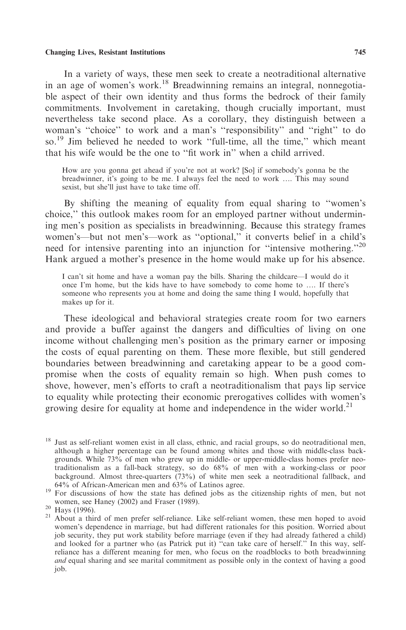In a variety of ways, these men seek to create a neotraditional alternative in an age of women's work.<sup>18</sup> Breadwinning remains an integral, nonnegotiable aspect of their own identity and thus forms the bedrock of their family commitments. Involvement in caretaking, though crucially important, must nevertheless take second place. As a corollary, they distinguish between a woman's ''choice'' to work and a man's ''responsibility'' and ''right'' to do so.<sup>19</sup> Jim believed he needed to work "full-time, all the time," which meant that his wife would be the one to ''fit work in'' when a child arrived.

How are you gonna get ahead if you're not at work? [So] if somebody's gonna be the breadwinner, it's going to be me. I always feel the need to work …. This may sound sexist, but she'll just have to take time off.

By shifting the meaning of equality from equal sharing to ''women's choice,'' this outlook makes room for an employed partner without undermining men's position as specialists in breadwinning. Because this strategy frames women's—but not men's—work as ''optional,'' it converts belief in a child's need for intensive parenting into an injunction for ''intensive mothering.''<sup>20</sup> Hank argued a mother's presence in the home would make up for his absence.

I can't sit home and have a woman pay the bills. Sharing the childcare—I would do it once I'm home, but the kids have to have somebody to come home to …. If there's someone who represents you at home and doing the same thing I would, hopefully that makes up for it.

These ideological and behavioral strategies create room for two earners and provide a buffer against the dangers and difficulties of living on one income without challenging men's position as the primary earner or imposing the costs of equal parenting on them. These more flexible, but still gendered boundaries between breadwinning and caretaking appear to be a good compromise when the costs of equality remain so high. When push comes to shove, however, men's efforts to craft a neotraditionalism that pays lip service to equality while protecting their economic prerogatives collides with women's growing desire for equality at home and independence in the wider world.<sup>21</sup>

<sup>&</sup>lt;sup>18</sup> Just as self-reliant women exist in all class, ethnic, and racial groups, so do neotraditional men, although a higher percentage can be found among whites and those with middle-class backgrounds. While 73% of men who grew up in middle- or upper-middle-class homes prefer neotraditionalism as a fall-back strategy, so do 68% of men with a working-class or poor background. Almost three-quarters  $(73%)$  of white men seek a neotraditional fallback, and 64% of African-American men and 63% of Latinos agree.

<sup>&</sup>lt;sup>19</sup> For discussions of how the state has defined jobs as the citizenship rights of men, but not women, see Haney (2002) and Fraser (1989).

<sup>20</sup> Hays (1996).<br><sup>20</sup> Hays (1996). <sup>21</sup> About a third of men prefer self-reliance. Like self-reliant women, these men hoped to avoid women's dependence in marriage, but had different rationales for this position. Worried about job security, they put work stability before marriage (even if they had already fathered a child) and looked for a partner who (as Patrick put it) ''can take care of herself.'' In this way, selfreliance has a different meaning for men, who focus on the roadblocks to both breadwinning and equal sharing and see marital commitment as possible only in the context of having a good job.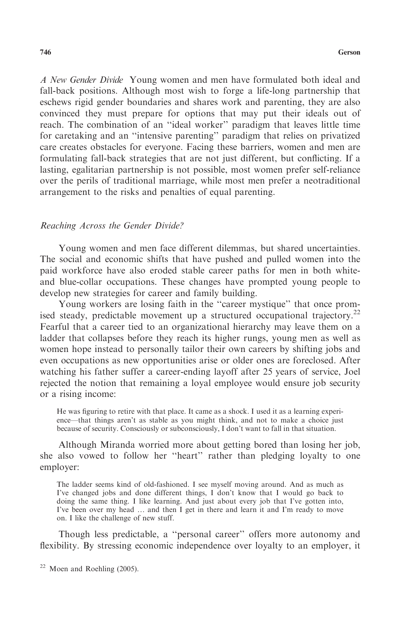A New Gender Divide Young women and men have formulated both ideal and fall-back positions. Although most wish to forge a life-long partnership that eschews rigid gender boundaries and shares work and parenting, they are also convinced they must prepare for options that may put their ideals out of reach. The combination of an ''ideal worker'' paradigm that leaves little time for caretaking and an ''intensive parenting'' paradigm that relies on privatized care creates obstacles for everyone. Facing these barriers, women and men are formulating fall-back strategies that are not just different, but conflicting. If a lasting, egalitarian partnership is not possible, most women prefer self-reliance over the perils of traditional marriage, while most men prefer a neotraditional arrangement to the risks and penalties of equal parenting.

#### Reaching Across the Gender Divide?

Young women and men face different dilemmas, but shared uncertainties. The social and economic shifts that have pushed and pulled women into the paid workforce have also eroded stable career paths for men in both whiteand blue-collar occupations. These changes have prompted young people to develop new strategies for career and family building.

Young workers are losing faith in the ''career mystique'' that once promised steady, predictable movement up a structured occupational trajectory.<sup>22</sup> Fearful that a career tied to an organizational hierarchy may leave them on a ladder that collapses before they reach its higher rungs, young men as well as women hope instead to personally tailor their own careers by shifting jobs and even occupations as new opportunities arise or older ones are foreclosed. After watching his father suffer a career-ending layoff after 25 years of service, Joel rejected the notion that remaining a loyal employee would ensure job security or a rising income:

He was figuring to retire with that place. It came as a shock. I used it as a learning experience—that things aren't as stable as you might think, and not to make a choice just because of security. Consciously or subconsciously, I don't want to fall in that situation.

Although Miranda worried more about getting bored than losing her job, she also vowed to follow her ''heart'' rather than pledging loyalty to one employer:

The ladder seems kind of old-fashioned. I see myself moving around. And as much as I've changed jobs and done different things, I don't know that I would go back to doing the same thing. I like learning. And just about every job that I've gotten into, I've been over my head … and then I get in there and learn it and I'm ready to move on. I like the challenge of new stuff.

Though less predictable, a ''personal career'' offers more autonomy and flexibility. By stressing economic independence over loyalty to an employer, it

 $22$  Moen and Roehling (2005).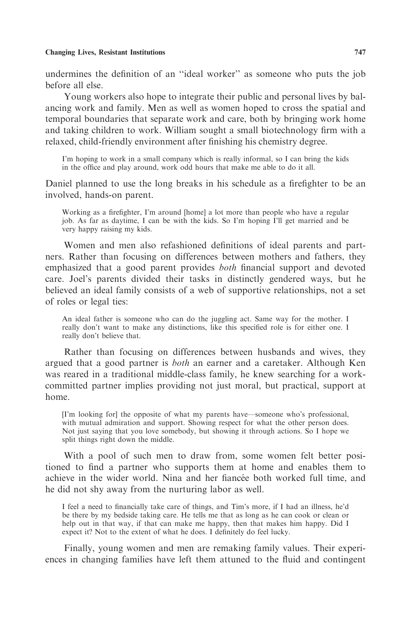undermines the definition of an ''ideal worker'' as someone who puts the job before all else.

Young workers also hope to integrate their public and personal lives by balancing work and family. Men as well as women hoped to cross the spatial and temporal boundaries that separate work and care, both by bringing work home and taking children to work. William sought a small biotechnology firm with a relaxed, child-friendly environment after finishing his chemistry degree.

I'm hoping to work in a small company which is really informal, so I can bring the kids in the office and play around, work odd hours that make me able to do it all.

Daniel planned to use the long breaks in his schedule as a firefighter to be an involved, hands-on parent.

Working as a firefighter, I'm around [home] a lot more than people who have a regular job. As far as daytime, I can be with the kids. So I'm hoping I'll get married and be very happy raising my kids.

Women and men also refashioned definitions of ideal parents and partners. Rather than focusing on differences between mothers and fathers, they emphasized that a good parent provides both financial support and devoted care. Joel's parents divided their tasks in distinctly gendered ways, but he believed an ideal family consists of a web of supportive relationships, not a set of roles or legal ties:

An ideal father is someone who can do the juggling act. Same way for the mother. I really don't want to make any distinctions, like this specified role is for either one. I really don't believe that.

Rather than focusing on differences between husbands and wives, they argued that a good partner is both an earner and a caretaker. Although Ken was reared in a traditional middle-class family, he knew searching for a workcommitted partner implies providing not just moral, but practical, support at home.

[I'm looking for] the opposite of what my parents have—someone who's professional, with mutual admiration and support. Showing respect for what the other person does. Not just saying that you love somebody, but showing it through actions. So I hope we split things right down the middle.

With a pool of such men to draw from, some women felt better positioned to find a partner who supports them at home and enables them to achieve in the wider world. Nina and her fiancée both worked full time, and he did not shy away from the nurturing labor as well.

I feel a need to financially take care of things, and Tim's more, if I had an illness, he'd be there by my bedside taking care. He tells me that as long as he can cook or clean or help out in that way, if that can make me happy, then that makes him happy. Did I expect it? Not to the extent of what he does. I definitely do feel lucky.

Finally, young women and men are remaking family values. Their experiences in changing families have left them attuned to the fluid and contingent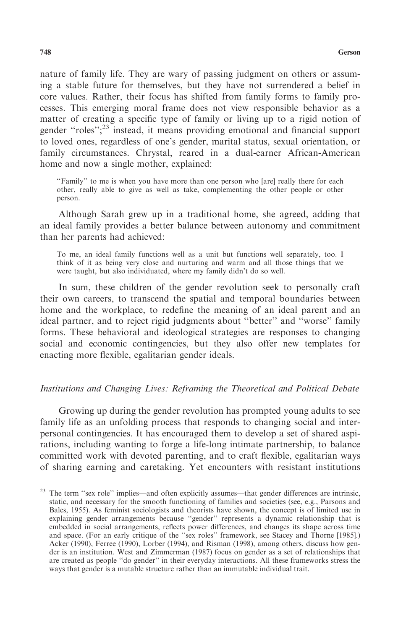nature of family life. They are wary of passing judgment on others or assuming a stable future for themselves, but they have not surrendered a belief in core values. Rather, their focus has shifted from family forms to family processes. This emerging moral frame does not view responsible behavior as a matter of creating a specific type of family or living up to a rigid notion of gender " $roles$ ";<sup>23</sup> instead, it means providing emotional and financial support to loved ones, regardless of one's gender, marital status, sexual orientation, or family circumstances. Chrystal, reared in a dual-earner African-American home and now a single mother, explained:

''Family'' to me is when you have more than one person who [are] really there for each other, really able to give as well as take, complementing the other people or other person.

Although Sarah grew up in a traditional home, she agreed, adding that an ideal family provides a better balance between autonomy and commitment than her parents had achieved:

To me, an ideal family functions well as a unit but functions well separately, too. I think of it as being very close and nurturing and warm and all those things that we were taught, but also individuated, where my family didn't do so well.

In sum, these children of the gender revolution seek to personally craft their own careers, to transcend the spatial and temporal boundaries between home and the workplace, to redefine the meaning of an ideal parent and an ideal partner, and to reject rigid judgments about ''better'' and ''worse'' family forms. These behavioral and ideological strategies are responses to changing social and economic contingencies, but they also offer new templates for enacting more flexible, egalitarian gender ideals.

# Institutions and Changing Lives: Reframing the Theoretical and Political Debate

Growing up during the gender revolution has prompted young adults to see family life as an unfolding process that responds to changing social and interpersonal contingencies. It has encouraged them to develop a set of shared aspirations, including wanting to forge a life-long intimate partnership, to balance committed work with devoted parenting, and to craft flexible, egalitarian ways of sharing earning and caretaking. Yet encounters with resistant institutions

<sup>&</sup>lt;sup>23</sup> The term "sex role" implies—and often explicitly assumes—that gender differences are intrinsic, static, and necessary for the smooth functioning of families and societies (see, e.g., Parsons and Bales, 1955). As feminist sociologists and theorists have shown, the concept is of limited use in explaining gender arrangements because ''gender'' represents a dynamic relationship that is embedded in social arrangements, reflects power differences, and changes its shape across time and space. (For an early critique of the ''sex roles'' framework, see Stacey and Thorne [1985].) Acker (1990), Ferree (1990), Lorber (1994), and Risman (1998), among others, discuss how gender is an institution. West and Zimmerman (1987) focus on gender as a set of relationships that are created as people ''do gender'' in their everyday interactions. All these frameworks stress the ways that gender is a mutable structure rather than an immutable individual trait.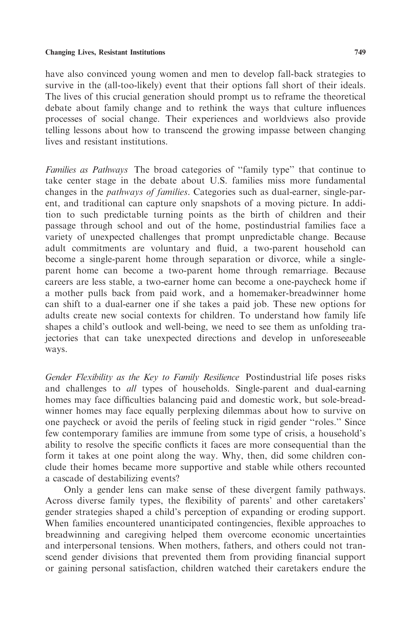have also convinced young women and men to develop fall-back strategies to survive in the (all-too-likely) event that their options fall short of their ideals. The lives of this crucial generation should prompt us to reframe the theoretical debate about family change and to rethink the ways that culture influences processes of social change. Their experiences and worldviews also provide telling lessons about how to transcend the growing impasse between changing lives and resistant institutions.

Families as Pathways The broad categories of ''family type'' that continue to take center stage in the debate about U.S. families miss more fundamental changes in the pathways of families. Categories such as dual-earner, single-parent, and traditional can capture only snapshots of a moving picture. In addition to such predictable turning points as the birth of children and their passage through school and out of the home, postindustrial families face a variety of unexpected challenges that prompt unpredictable change. Because adult commitments are voluntary and fluid, a two-parent household can become a single-parent home through separation or divorce, while a singleparent home can become a two-parent home through remarriage. Because careers are less stable, a two-earner home can become a one-paycheck home if a mother pulls back from paid work, and a homemaker-breadwinner home can shift to a dual-earner one if she takes a paid job. These new options for adults create new social contexts for children. To understand how family life shapes a child's outlook and well-being, we need to see them as unfolding trajectories that can take unexpected directions and develop in unforeseeable ways.

Gender Flexibility as the Key to Family Resilience Postindustrial life poses risks and challenges to all types of households. Single-parent and dual-earning homes may face difficulties balancing paid and domestic work, but sole-breadwinner homes may face equally perplexing dilemmas about how to survive on one paycheck or avoid the perils of feeling stuck in rigid gender ''roles.'' Since few contemporary families are immune from some type of crisis, a household's ability to resolve the specific conflicts it faces are more consequential than the form it takes at one point along the way. Why, then, did some children conclude their homes became more supportive and stable while others recounted a cascade of destabilizing events?

Only a gender lens can make sense of these divergent family pathways. Across diverse family types, the flexibility of parents' and other caretakers' gender strategies shaped a child's perception of expanding or eroding support. When families encountered unanticipated contingencies, flexible approaches to breadwinning and caregiving helped them overcome economic uncertainties and interpersonal tensions. When mothers, fathers, and others could not transcend gender divisions that prevented them from providing financial support or gaining personal satisfaction, children watched their caretakers endure the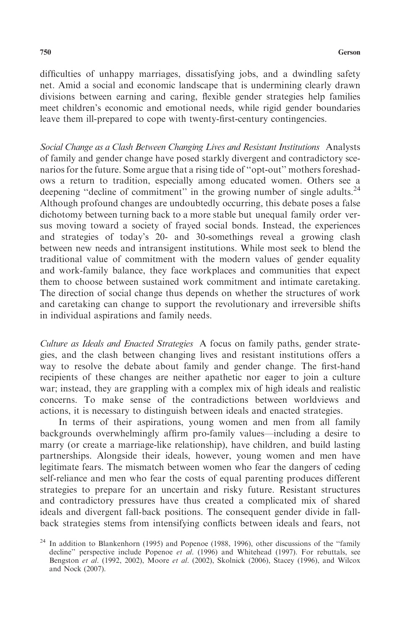difficulties of unhappy marriages, dissatisfying jobs, and a dwindling safety net. Amid a social and economic landscape that is undermining clearly drawn divisions between earning and caring, flexible gender strategies help families meet children's economic and emotional needs, while rigid gender boundaries leave them ill-prepared to cope with twenty-first-century contingencies.

Social Change as a Clash Between Changing Lives and Resistant Institutions Analysts of family and gender change have posed starkly divergent and contradictory scenarios for the future. Some argue that a rising tide of ''opt-out'' mothers foreshadows a return to tradition, especially among educated women. Others see a deepening "decline of commitment" in the growing number of single adults. $^{24}$ Although profound changes are undoubtedly occurring, this debate poses a false dichotomy between turning back to a more stable but unequal family order versus moving toward a society of frayed social bonds. Instead, the experiences and strategies of today's 20- and 30-somethings reveal a growing clash between new needs and intransigent institutions. While most seek to blend the traditional value of commitment with the modern values of gender equality and work-family balance, they face workplaces and communities that expect them to choose between sustained work commitment and intimate caretaking. The direction of social change thus depends on whether the structures of work and caretaking can change to support the revolutionary and irreversible shifts in individual aspirations and family needs.

Culture as Ideals and Enacted Strategies A focus on family paths, gender strategies, and the clash between changing lives and resistant institutions offers a way to resolve the debate about family and gender change. The first-hand recipients of these changes are neither apathetic nor eager to join a culture war; instead, they are grappling with a complex mix of high ideals and realistic concerns. To make sense of the contradictions between worldviews and actions, it is necessary to distinguish between ideals and enacted strategies.

In terms of their aspirations, young women and men from all family backgrounds overwhelmingly affirm pro-family values—including a desire to marry (or create a marriage-like relationship), have children, and build lasting partnerships. Alongside their ideals, however, young women and men have legitimate fears. The mismatch between women who fear the dangers of ceding self-reliance and men who fear the costs of equal parenting produces different strategies to prepare for an uncertain and risky future. Resistant structures and contradictory pressures have thus created a complicated mix of shared ideals and divergent fall-back positions. The consequent gender divide in fallback strategies stems from intensifying conflicts between ideals and fears, not

<sup>&</sup>lt;sup>24</sup> In addition to Blankenhorn (1995) and Popenoe (1988, 1996), other discussions of the "family decline'' perspective include Popenoe *et al.* (1996) and Whitehead (1997). For rebuttals, see Bengston et al. (1992, 2002), Moore et al. (2002), Skolnick (2006), Stacey (1996), and Wilcox and Nock (2007).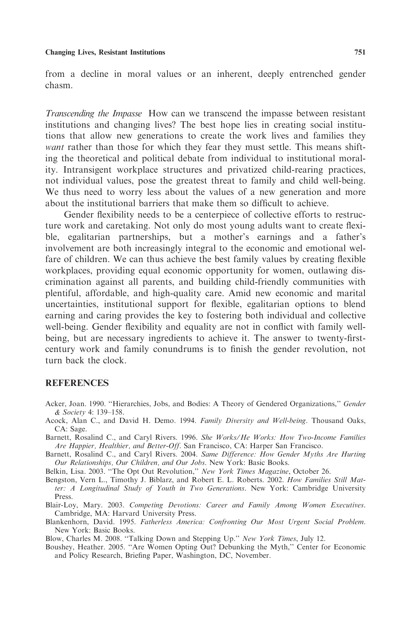from a decline in moral values or an inherent, deeply entrenched gender chasm.

Transcending the Impasse How can we transcend the impasse between resistant institutions and changing lives? The best hope lies in creating social institutions that allow new generations to create the work lives and families they want rather than those for which they fear they must settle. This means shifting the theoretical and political debate from individual to institutional morality. Intransigent workplace structures and privatized child-rearing practices, not individual values, pose the greatest threat to family and child well-being. We thus need to worry less about the values of a new generation and more about the institutional barriers that make them so difficult to achieve.

Gender flexibility needs to be a centerpiece of collective efforts to restructure work and caretaking. Not only do most young adults want to create flexible, egalitarian partnerships, but a mother's earnings and a father's involvement are both increasingly integral to the economic and emotional welfare of children. We can thus achieve the best family values by creating flexible workplaces, providing equal economic opportunity for women, outlawing discrimination against all parents, and building child-friendly communities with plentiful, affordable, and high-quality care. Amid new economic and marital uncertainties, institutional support for flexible, egalitarian options to blend earning and caring provides the key to fostering both individual and collective well-being. Gender flexibility and equality are not in conflict with family wellbeing, but are necessary ingredients to achieve it. The answer to twenty-firstcentury work and family conundrums is to finish the gender revolution, not turn back the clock.

# **REFERENCES**

- Acker, Joan. 1990. ''Hierarchies, Jobs, and Bodies: A Theory of Gendered Organizations,'' Gender & Society 4: 139–158.
- Acock, Alan C., and David H. Demo. 1994. Family Diversity and Well-being. Thousand Oaks, CA: Sage.
- Barnett, Rosalind C., and Caryl Rivers. 1996. She Works⁄ He Works: How Two-Income Families Are Happier, Healthier, and Better-Off. San Francisco, CA: Harper San Francisco.
- Barnett, Rosalind C., and Caryl Rivers. 2004. Same Difference: How Gender Myths Are Hurting Our Relationships, Our Children, and Our Jobs. New York: Basic Books.
- Belkin, Lisa. 2003. "The Opt Out Revolution," New York Times Magazine, October 26.
- Bengston, Vern L., Timothy J. Biblarz, and Robert E. L. Roberts. 2002. How Families Still Matter: A Longitudinal Study of Youth in Two Generations. New York: Cambridge University Press.
- Blair-Loy, Mary. 2003. Competing Devotions: Career and Family Among Women Executives. Cambridge, MA: Harvard University Press.
- Blankenhorn, David. 1995. Fatherless America: Confronting Our Most Urgent Social Problem. New York: Basic Books.
- Blow, Charles M. 2008. "Talking Down and Stepping Up." New York Times, July 12.
- Boushey, Heather. 2005. ''Are Women Opting Out? Debunking the Myth,'' Center for Economic and Policy Research, Briefing Paper, Washington, DC, November.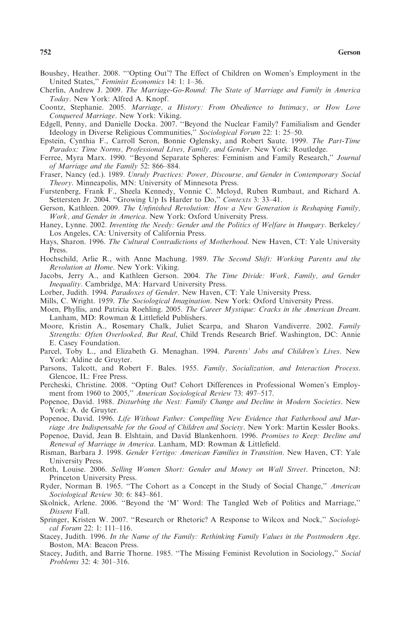- Boushey, Heather. 2008. '''Opting Out'? The Effect of Children on Women's Employment in the United States,'' Feminist Economics 14: 1: 1–36.
- Cherlin, Andrew J. 2009. The Marriage-Go-Round: The State of Marriage and Family in America Today. New York: Alfred A. Knopf.
- Coontz, Stephanie. 2005. Marriage, a History: From Obedience to Intimacy, or How Love Conquered Marriage. New York: Viking.
- Edgell, Penny, and Danielle Docka. 2007. ''Beyond the Nuclear Family? Familialism and Gender Ideology in Diverse Religious Communities,'' Sociological Forum 22: 1: 25–50.
- Epstein, Cynthia F., Carroll Seron, Bonnie Oglensky, and Robert Saute. 1999. The Part-Time Paradox: Time Norms, Professional Lives, Family, and Gender. New York: Routledge.
- Ferree, Myra Marx. 1990. "Beyond Separate Spheres: Feminism and Family Research," Journal of Marriage and the Family 52: 866–884.
- Fraser, Nancy (ed.). 1989. Unruly Practices: Power, Discourse, and Gender in Contemporary Social Theory. Minneapolis, MN: University of Minnesota Press.
- Furstenberg, Frank F., Sheela Kennedy, Vonnie C. Mcloyd, Ruben Rumbaut, and Richard A. Settersten Jr. 2004. "Growing Up Is Harder to Do," Contexts 3: 33–41.
- Gerson, Kathleen. 2009. The Unfinished Revolution: How a New Generation is Reshaping Family, Work, and Gender in America. New York: Oxford University Press.
- Haney, Lynne. 2002. Inventing the Needy: Gender and the Politics of Welfare in Hungary. Berkeley/ Los Angeles, CA: University of California Press.
- Hays, Sharon. 1996. The Cultural Contradictions of Motherhood. New Haven, CT: Yale University Press.
- Hochschild, Arlie R., with Anne Machung. 1989. The Second Shift: Working Parents and the Revolution at Home. New York: Viking.
- Jacobs, Jerry A., and Kathleen Gerson. 2004. The Time Divide: Work, Family, and Gender Inequality. Cambridge, MA: Harvard University Press.
- Lorber, Judith. 1994. Paradoxes of Gender. New Haven, CT: Yale University Press.
- Mills, C. Wright. 1959. The Sociological Imagination. New York: Oxford University Press.
- Moen, Phyllis, and Patricia Roehling. 2005. The Career Mystique: Cracks in the American Dream. Lanham, MD: Rowman & Littlefield Publishers.
- Moore, Kristin A., Rosemary Chalk, Juliet Scarpa, and Sharon Vandiverre. 2002. Family Strengths: Often Overlooked, But Real, Child Trends Research Brief. Washington, DC: Annie E. Casey Foundation.
- Parcel, Toby L., and Elizabeth G. Menaghan. 1994. Parents' Jobs and Children's Lives. New York: Aldine de Gruyter.
- Parsons, Talcott, and Robert F. Bales. 1955. Family, Socialization, and Interaction Process. Glencoe, IL: Free Press.
- Percheski, Christine. 2008. ''Opting Out? Cohort Differences in Professional Women's Employment from 1960 to 2005,'' American Sociological Review 73: 497–517.
- Popenoe, David. 1988. Disturbing the Nest: Family Change and Decline in Modern Societies. New York: A. de Gruyter.
- Popenoe, David. 1996. Life Without Father: Compelling New Evidence that Fatherhood and Marriage Are Indispensable for the Good of Children and Society. New York: Martin Kessler Books.
- Popenoe, David, Jean B. Elshtain, and David Blankenhorn. 1996. Promises to Keep: Decline and Renewal of Marriage in America. Lanham, MD: Rowman & Littlefield.
- Risman, Barbara J. 1998. Gender Vertigo: American Families in Transition. New Haven, CT: Yale University Press.
- Roth, Louise. 2006. Selling Women Short: Gender and Money on Wall Street. Princeton, NJ: Princeton University Press.
- Ryder, Norman B. 1965. "The Cohort as a Concept in the Study of Social Change," American Sociological Review 30: 6: 843–861.
- Skolnick, Arlene. 2006. ''Beyond the 'M' Word: The Tangled Web of Politics and Marriage,'' Dissent Fall.
- Springer, Kristen W. 2007. ''Research or Rhetoric? A Response to Wilcox and Nock,'' Sociological Forum 22: 1: 111–116.
- Stacey, Judith. 1996. In the Name of the Family: Rethinking Family Values in the Postmodern Age. Boston, MA: Beacon Press.
- Stacey, Judith, and Barrie Thorne. 1985. "The Missing Feminist Revolution in Sociology," Social Problems 32: 4: 301–316.